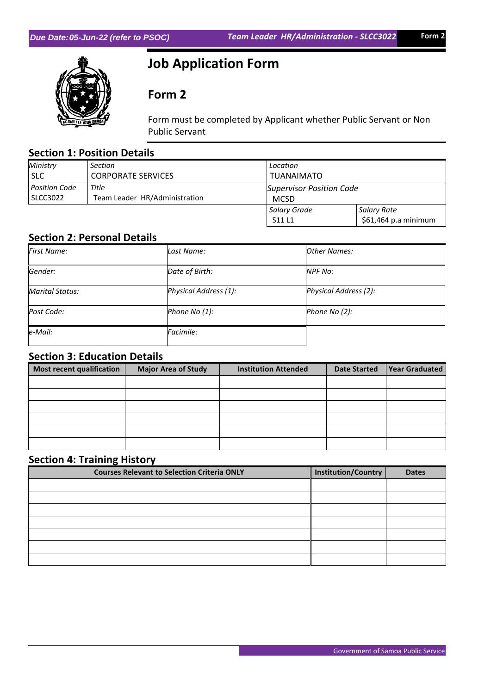

# **Job Application Form**

## **Form 2**

Form must be completed by Applicant whether Public Servant or Non Public Servant

### **Section 1: Position Details**

| Ministry      | <b>Section</b>                | Location                        |                      |  |
|---------------|-------------------------------|---------------------------------|----------------------|--|
| <b>SLC</b>    | <b>CORPORATE SERVICES</b>     | <b>TUANAIMATO</b>               |                      |  |
| Position Code | Title                         | <b>Supervisor Position Code</b> |                      |  |
| SLCC3022      | Team Leader HR/Administration | <b>MCSD</b>                     |                      |  |
|               |                               | Salary Grade                    | Salary Rate          |  |
|               |                               | S11L1                           | \$61,464 p.a minimum |  |

#### **Section 2: Personal Details**

| <b>First Name:</b> | Last Name:            | Other Names:          |
|--------------------|-----------------------|-----------------------|
| Gender:            | Date of Birth:        | <b>NPF No:</b>        |
| Marital Status:    | Physical Address (1): | Physical Address (2): |
| Post Code:         | Phone No (1):         | Phone No (2):         |
| $e$ -Mail:         | Facimile:             |                       |

#### **Section 3: Education Details**

| Most recent qualification | <b>Major Area of Study</b> | <b>Institution Attended</b> | <b>Date Started</b> | <b>Year Graduated</b> |
|---------------------------|----------------------------|-----------------------------|---------------------|-----------------------|
|                           |                            |                             |                     |                       |
|                           |                            |                             |                     |                       |
|                           |                            |                             |                     |                       |
|                           |                            |                             |                     |                       |
|                           |                            |                             |                     |                       |
|                           |                            |                             |                     |                       |

#### **Section 4: Training History**

| <b>Courses Relevant to Selection Criteria ONLY</b> | Institution/Country | <b>Dates</b> |
|----------------------------------------------------|---------------------|--------------|
|                                                    |                     |              |
|                                                    |                     |              |
|                                                    |                     |              |
|                                                    |                     |              |
|                                                    |                     |              |
|                                                    |                     |              |
|                                                    |                     |              |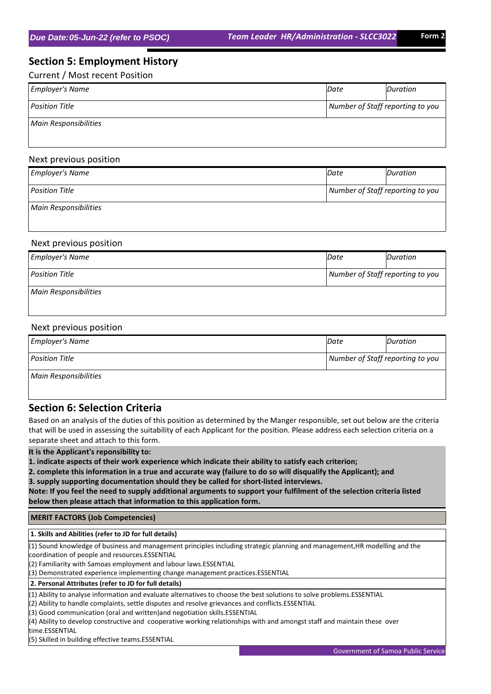#### **Section 5: Employment History**

Current / Most recent Position

| <b>Employer's Name</b>       | Date<br>Duration                 |  |  |
|------------------------------|----------------------------------|--|--|
| <b>Position Title</b>        | Number of Staff reporting to you |  |  |
| <b>Main Responsibilities</b> |                                  |  |  |

#### Next previous position

| <b>Employer's Name</b>       | Date                             | Duration |
|------------------------------|----------------------------------|----------|
| <b>Position Title</b>        | Number of Staff reporting to you |          |
| <b>Main Responsibilities</b> |                                  |          |

#### Next previous position

| <b>Employer's Name</b>       | Date                             | Duration |
|------------------------------|----------------------------------|----------|
| <b>Position Title</b>        | Number of Staff reporting to you |          |
| <b>Main Responsibilities</b> |                                  |          |

#### Next previous position

| <b>Employer's Name</b> | Date                             | Duration |
|------------------------|----------------------------------|----------|
| <b>Position Title</b>  | Number of Staff reporting to you |          |
| Main Responsibilities  |                                  |          |

#### **Section 6: Selection Criteria**

Based on an analysis of the duties of this position as determined by the Manger responsible, set out below are the criteria that will be used in assessing the suitability of each Applicant for the position. Please address each selection criteria on a separate sheet and attach to this form.

**It is the Applicant's reponsibility to:**

**1. indicate aspects of their work experience which indicate their ability to satisfy each criterion;**

**2. complete this information in a true and accurate way (failure to do so will disqualify the Applicant); and 3. supply supporting documentation should they be called for short-listed interviews.**

**Note: If you feel the need to supply additional arguments to support your fulfilment of the selection criteria listed below then please attach that information to this application form.**

 **MERIT FACTORS (Job Competencies)**

 **1. Skills and Abilities (refer to JD for full details)**

(1) Sound knowledge of business and management principles including strategic planning and management,HR modelling and the coordination of people and resources.ESSENTIAL

(2) Familiarity with Samoas employment and labour laws.ESSENTIAL

(3) Demonstrated experience implementing change management practices.ESSENTIAL

 **2. Personal Attributes (refer to JD for full details)**

(1) Ability to analyse information and evaluate alternatives to choose the best solutions to solve problems.ESSENTIAL

(2) Ability to handle complaints, settle disputes and resolve grievances and conflicts.ESSENTIAL

(3) Good communication (oral and written)and negotiation skills.ESSENTIAL

(4) Ability to develop constructive and cooperative working relationships with and amongst staff and maintain these over time.ESSENTIAL

(5) Skilled in building effective teams.ESSENTIAL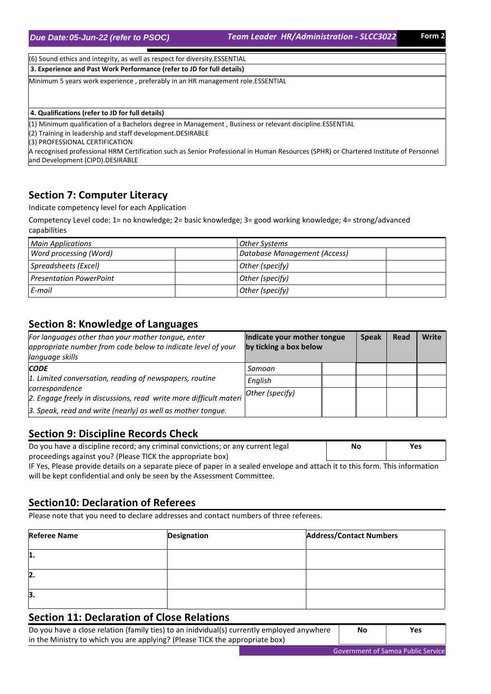*Due Date: (refer to PSOC) 05-Jun-22 Team Leader HR/Administration - SLCC3022* **Form 2**

(6) Sound ethics and integrity, as well as respect for diversity.ESSENTIAL

 **3. Experience and Past Work Performance (refer to JD for full details)**

Minimum 5 years work experience , preferably in an HR management role.ESSENTIAL

 **4. Qualifications (refer to JD for full details)**

(1) Minimum qualification of a Bachelors degree in Management , Business or relevant discipline.ESSENTIAL

(2) Training in leadership and staff development.DESIRABLE

(3) PROFESSIONAL CERTIFICATION

A recognised professional HRM Certification such as Senior Professional in Human Resources (SPHR) or Chartered Institute of Personnel and Development (CIPD).DESIRABLE

#### **Section 7: Computer Literacy**

Indicate competency level for each Application

Competency Level code: 1= no knowledge; 2= basic knowledge; 3= good working knowledge; 4= strong/advanced capabilities

| <b>Main Applications</b>       | Other Systems                |  |
|--------------------------------|------------------------------|--|
| Word processing (Word)         | Database Management (Access) |  |
| Spreadsheets (Excel)           | Other (specify)              |  |
| <b>Presentation PowerPoint</b> | Other (specify)              |  |
| E-mail                         | Other (specify)              |  |

#### **Section 8: Knowledge of Languages**

| For languages other than your mother tongue, enter<br>appropriate number from code below to indicate level of your<br>language skills | Indicate your mother tongue<br>by ticking a box below | <b>Speak</b> | Read | Write |
|---------------------------------------------------------------------------------------------------------------------------------------|-------------------------------------------------------|--------------|------|-------|
| <b>CODE</b>                                                                                                                           | Samoan                                                |              |      |       |
| 1. Limited conversation, reading of newspapers, routine                                                                               | English                                               |              |      |       |
| correspondence<br>2. Engage freely in discussions, read write more difficult materi                                                   | Other (specify)                                       |              |      |       |
| 3. Speak, read and write (nearly) as well as mother tongue.                                                                           |                                                       |              |      |       |

#### **Section 9: Discipline Records Check**

| Do you have a discipline record; any criminal convictions; or any current legal | No | Yes |
|---------------------------------------------------------------------------------|----|-----|
| proceedings against you? (Please TICK the appropriate box)                      |    |     |
|                                                                                 |    |     |

IF Yes, Please provide details on a separate piece of paper in a sealed envelope and attach it to this form. This information will be kept confidential and only be seen by the Assessment Committee.

#### **Section10: Declaration of Referees**

Please note that you need to declare addresses and contact numbers of three referees.

| <b>Referee Name</b> | Designation | <b>Address/Contact Numbers</b> |
|---------------------|-------------|--------------------------------|
| 11.                 |             |                                |
| 2.                  |             |                                |
| 3.                  |             |                                |

#### **Section 11: Declaration of Close Relations**

Do you have a close relation (family ties) to an inidvidual(s) currently employed anywhere in the Ministry to which you are applying? (Please TICK the appropriate box) **No Yes**